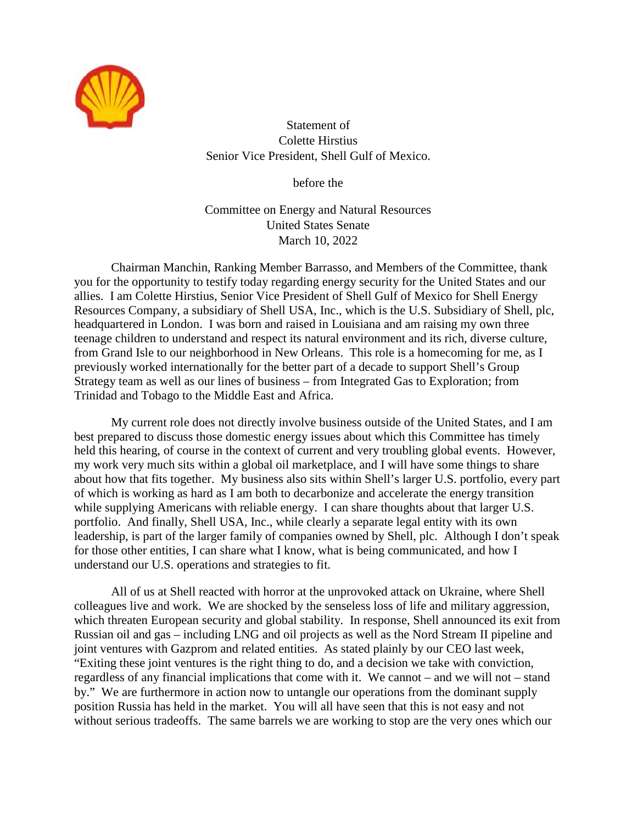

Statement of Colette Hirstius Senior Vice President, Shell Gulf of Mexico.

before the

Committee on Energy and Natural Resources United States Senate March 10, 2022

Chairman Manchin, Ranking Member Barrasso, and Members of the Committee, thank you for the opportunity to testify today regarding energy security for the United States and our allies. I am Colette Hirstius, Senior Vice President of Shell Gulf of Mexico for Shell Energy Resources Company, a subsidiary of Shell USA, Inc., which is the U.S. Subsidiary of Shell, plc, headquartered in London. I was born and raised in Louisiana and am raising my own three teenage children to understand and respect its natural environment and its rich, diverse culture, from Grand Isle to our neighborhood in New Orleans. This role is a homecoming for me, as I previously worked internationally for the better part of a decade to support Shell's Group Strategy team as well as our lines of business – from Integrated Gas to Exploration; from Trinidad and Tobago to the Middle East and Africa.

My current role does not directly involve business outside of the United States, and I am best prepared to discuss those domestic energy issues about which this Committee has timely held this hearing, of course in the context of current and very troubling global events. However, my work very much sits within a global oil marketplace, and I will have some things to share about how that fits together. My business also sits within Shell's larger U.S. portfolio, every part of which is working as hard as I am both to decarbonize and accelerate the energy transition while supplying Americans with reliable energy. I can share thoughts about that larger U.S. portfolio. And finally, Shell USA, Inc., while clearly a separate legal entity with its own leadership, is part of the larger family of companies owned by Shell, plc. Although I don't speak for those other entities, I can share what I know, what is being communicated, and how I understand our U.S. operations and strategies to fit.

All of us at Shell reacted with horror at the unprovoked attack on Ukraine, where Shell colleagues live and work. We are shocked by the senseless loss of life and military aggression, which threaten European security and global stability. In response, Shell announced its exit from Russian oil and gas – including LNG and oil projects as well as the Nord Stream II pipeline and joint ventures with Gazprom and related entities. As stated plainly by our CEO last week, "Exiting these joint ventures is the right thing to do, and a decision we take with conviction, regardless of any financial implications that come with it. We cannot – and we will not – stand by." We are furthermore in action now to untangle our operations from the dominant supply position Russia has held in the market. You will all have seen that this is not easy and not without serious tradeoffs. The same barrels we are working to stop are the very ones which our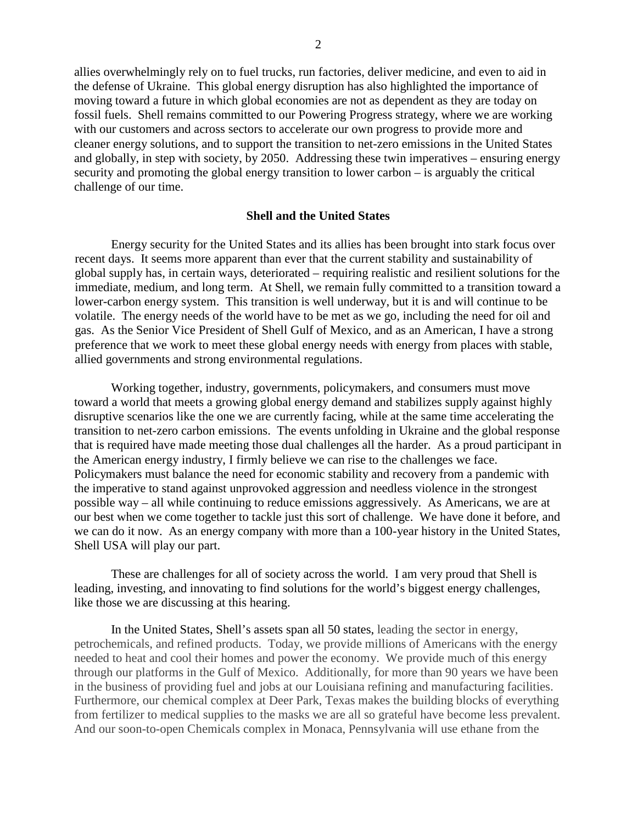allies overwhelmingly rely on to fuel trucks, run factories, deliver medicine, and even to aid in the defense of Ukraine. This global energy disruption has also highlighted the importance of moving toward a future in which global economies are not as dependent as they are today on fossil fuels. Shell remains committed to our Powering Progress strategy, where we are working with our customers and across sectors to accelerate our own progress to provide more and cleaner energy solutions, and to support the transition to net-zero emissions in the United States and globally, in step with society, by 2050. Addressing these twin imperatives – ensuring energy security and promoting the global energy transition to lower carbon – is arguably the critical challenge of our time.

## **Shell and the United States**

Energy security for the United States and its allies has been brought into stark focus over recent days. It seems more apparent than ever that the current stability and sustainability of global supply has, in certain ways, deteriorated – requiring realistic and resilient solutions for the immediate, medium, and long term. At Shell, we remain fully committed to a transition toward a lower-carbon energy system. This transition is well underway, but it is and will continue to be volatile. The energy needs of the world have to be met as we go, including the need for oil and gas. As the Senior Vice President of Shell Gulf of Mexico, and as an American, I have a strong preference that we work to meet these global energy needs with energy from places with stable, allied governments and strong environmental regulations.

Working together, industry, governments, policymakers, and consumers must move toward a world that meets a growing global energy demand and stabilizes supply against highly disruptive scenarios like the one we are currently facing, while at the same time accelerating the transition to net-zero carbon emissions. The events unfolding in Ukraine and the global response that is required have made meeting those dual challenges all the harder. As a proud participant in the American energy industry, I firmly believe we can rise to the challenges we face. Policymakers must balance the need for economic stability and recovery from a pandemic with the imperative to stand against unprovoked aggression and needless violence in the strongest possible way – all while continuing to reduce emissions aggressively. As Americans, we are at our best when we come together to tackle just this sort of challenge. We have done it before, and we can do it now. As an energy company with more than a 100-year history in the United States, Shell USA will play our part.

These are challenges for all of society across the world. I am very proud that Shell is leading, investing, and innovating to find solutions for the world's biggest energy challenges, like those we are discussing at this hearing.

In the United States, Shell's assets span all 50 states, leading the sector in energy, petrochemicals, and refined products. Today, we provide millions of Americans with the energy needed to heat and cool their homes and power the economy. We provide much of this energy through our platforms in the Gulf of Mexico. Additionally, for more than 90 years we have been in the business of providing fuel and jobs at our Louisiana refining and manufacturing facilities. Furthermore, our chemical complex at Deer Park, Texas makes the building blocks of everything from fertilizer to medical supplies to the masks we are all so grateful have become less prevalent. And our soon-to-open Chemicals complex in Monaca, Pennsylvania will use ethane from the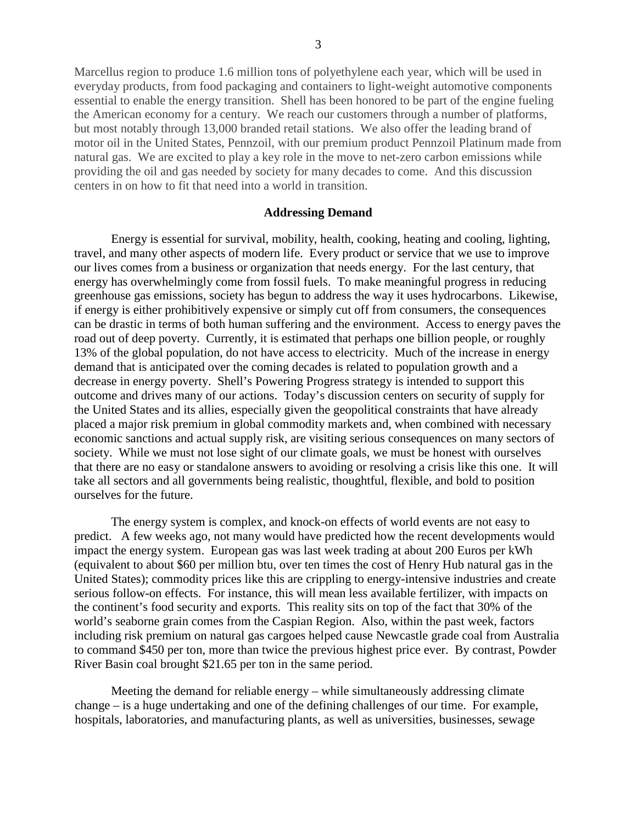Marcellus region to produce 1.6 million tons of polyethylene each year, which will be used in everyday products, from food packaging and containers to light-weight automotive components essential to enable the energy transition. Shell has been honored to be part of the engine fueling the American economy for a century. We reach our customers through a number of platforms, but most notably through 13,000 branded retail stations. We also offer the leading brand of motor oil in the United States, Pennzoil, with our premium product Pennzoil Platinum made from natural gas. We are excited to play a key role in the move to net-zero carbon emissions while providing the oil and gas needed by society for many decades to come. And this discussion centers in on how to fit that need into a world in transition.

## **Addressing Demand**

Energy is essential for survival, mobility, health, cooking, heating and cooling, lighting, travel, and many other aspects of modern life. Every product or service that we use to improve our lives comes from a business or organization that needs energy. For the last century, that energy has overwhelmingly come from fossil fuels. To make meaningful progress in reducing greenhouse gas emissions, society has begun to address the way it uses hydrocarbons. Likewise, if energy is either prohibitively expensive or simply cut off from consumers, the consequences can be drastic in terms of both human suffering and the environment. Access to energy paves the road out of deep poverty. Currently, it is estimated that perhaps one billion people, or roughly 13% of the global population, do not have access to electricity. Much of the increase in energy demand that is anticipated over the coming decades is related to population growth and a decrease in energy poverty. Shell's Powering Progress strategy is intended to support this outcome and drives many of our actions. Today's discussion centers on security of supply for the United States and its allies, especially given the geopolitical constraints that have already placed a major risk premium in global commodity markets and, when combined with necessary economic sanctions and actual supply risk, are visiting serious consequences on many sectors of society. While we must not lose sight of our climate goals, we must be honest with ourselves that there are no easy or standalone answers to avoiding or resolving a crisis like this one. It will take all sectors and all governments being realistic, thoughtful, flexible, and bold to position ourselves for the future.

The energy system is complex, and knock-on effects of world events are not easy to predict. A few weeks ago, not many would have predicted how the recent developments would impact the energy system. European gas was last week trading at about 200 Euros per kWh (equivalent to about \$60 per million btu, over ten times the cost of Henry Hub natural gas in the United States); commodity prices like this are crippling to energy-intensive industries and create serious follow-on effects. For instance, this will mean less available fertilizer, with impacts on the continent's food security and exports. This reality sits on top of the fact that 30% of the world's seaborne grain comes from the Caspian Region. Also, within the past week, factors including risk premium on natural gas cargoes helped cause Newcastle grade coal from Australia to command \$450 per ton, more than twice the previous highest price ever. By contrast, Powder River Basin coal brought \$21.65 per ton in the same period.

Meeting the demand for reliable energy – while simultaneously addressing climate change – is a huge undertaking and one of the defining challenges of our time. For example, hospitals, laboratories, and manufacturing plants, as well as universities, businesses, sewage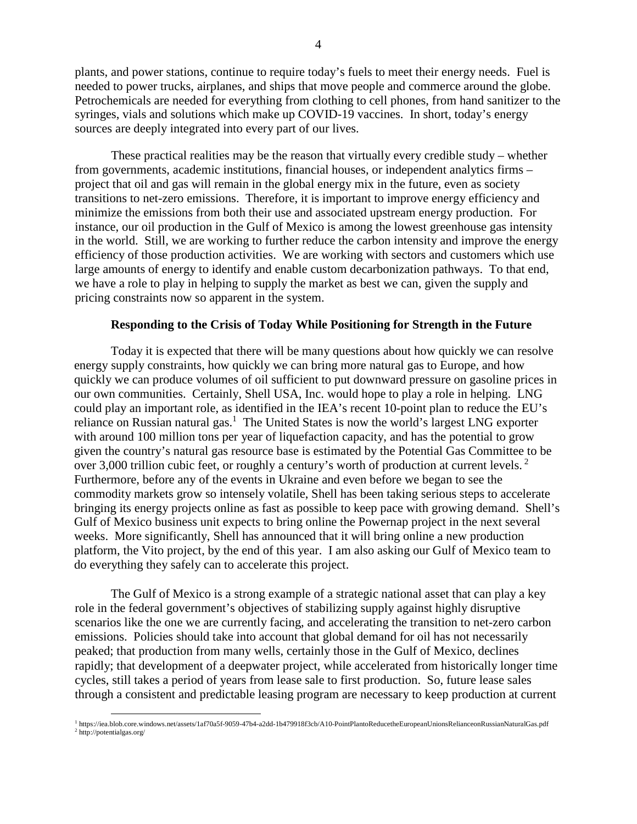plants, and power stations, continue to require today's fuels to meet their energy needs. Fuel is needed to power trucks, airplanes, and ships that move people and commerce around the globe. Petrochemicals are needed for everything from clothing to cell phones, from hand sanitizer to the syringes, vials and solutions which make up COVID-19 vaccines. In short, today's energy sources are deeply integrated into every part of our lives.

These practical realities may be the reason that virtually every credible study – whether from governments, academic institutions, financial houses, or independent analytics firms – project that oil and gas will remain in the global energy mix in the future, even as society transitions to net-zero emissions. Therefore, it is important to improve energy efficiency and minimize the emissions from both their use and associated upstream energy production. For instance, our oil production in the Gulf of Mexico is among the lowest greenhouse gas intensity in the world. Still, we are working to further reduce the carbon intensity and improve the energy efficiency of those production activities. We are working with sectors and customers which use large amounts of energy to identify and enable custom decarbonization pathways. To that end, we have a role to play in helping to supply the market as best we can, given the supply and pricing constraints now so apparent in the system.

## **Responding to the Crisis of Today While Positioning for Strength in the Future**

Today it is expected that there will be many questions about how quickly we can resolve energy supply constraints, how quickly we can bring more natural gas to Europe, and how quickly we can produce volumes of oil sufficient to put downward pressure on gasoline prices in our own communities. Certainly, Shell USA, Inc. would hope to play a role in helping. LNG could play an important role, as identified in the IEA's recent 10-point plan to reduce the EU's reliance on Russian natural gas.<sup>1</sup> The United States is now the world's largest LNG exporter with around 100 million tons per year of liquefaction capacity, and has the potential to grow given the country's natural gas resource base is estimated by the Potential Gas Committee to be over 3,000 trillion cubic feet, or roughly a century's worth of production at current levels.<sup>2</sup> Furthermore, before any of the events in Ukraine and even before we began to see the commodity markets grow so intensely volatile, Shell has been taking serious steps to accelerate bringing its energy projects online as fast as possible to keep pace with growing demand. Shell's Gulf of Mexico business unit expects to bring online the Powernap project in the next several weeks. More significantly, Shell has announced that it will bring online a new production platform, the Vito project, by the end of this year. I am also asking our Gulf of Mexico team to do everything they safely can to accelerate this project.

The Gulf of Mexico is a strong example of a strategic national asset that can play a key role in the federal government's objectives of stabilizing supply against highly disruptive scenarios like the one we are currently facing, and accelerating the transition to net-zero carbon emissions. Policies should take into account that global demand for oil has not necessarily peaked; that production from many wells, certainly those in the Gulf of Mexico, declines rapidly; that development of a deepwater project, while accelerated from historically longer time cycles, still takes a period of years from lease sale to first production. So, future lease sales through a consistent and predictable leasing program are necessary to keep production at current

<sup>1</sup> https://iea.blob.core.windows.net/assets/1af70a5f-9059-47b4-a2dd-1b479918f3cb/A10-PointPlantoReducetheEuropeanUnionsRelianceonRussianNaturalGas.pdf 2 http://potentialgas.org/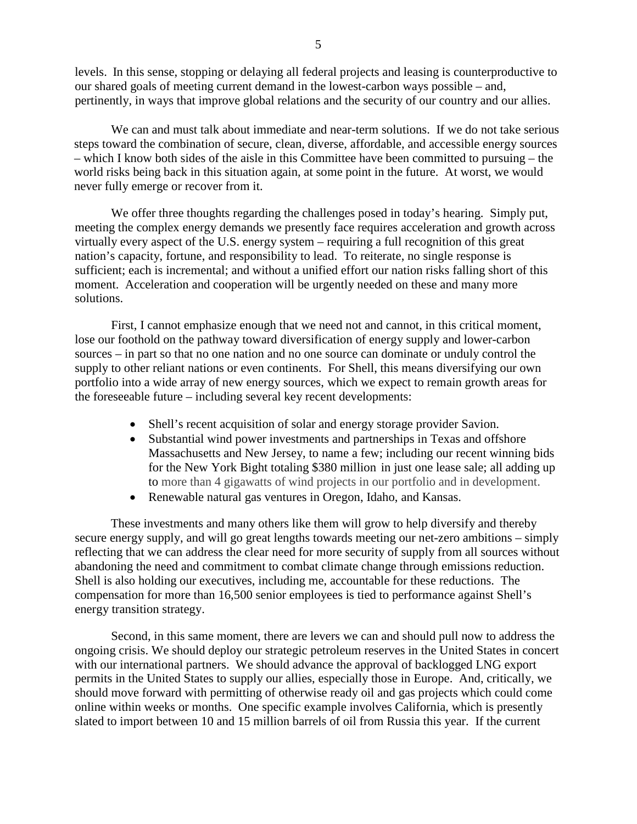levels. In this sense, stopping or delaying all federal projects and leasing is counterproductive to our shared goals of meeting current demand in the lowest-carbon ways possible – and, pertinently, in ways that improve global relations and the security of our country and our allies.

We can and must talk about immediate and near-term solutions. If we do not take serious steps toward the combination of secure, clean, diverse, affordable, and accessible energy sources – which I know both sides of the aisle in this Committee have been committed to pursuing – the world risks being back in this situation again, at some point in the future. At worst, we would never fully emerge or recover from it.

We offer three thoughts regarding the challenges posed in today's hearing. Simply put, meeting the complex energy demands we presently face requires acceleration and growth across virtually every aspect of the U.S. energy system – requiring a full recognition of this great nation's capacity, fortune, and responsibility to lead. To reiterate, no single response is sufficient; each is incremental; and without a unified effort our nation risks falling short of this moment. Acceleration and cooperation will be urgently needed on these and many more solutions.

First, I cannot emphasize enough that we need not and cannot, in this critical moment, lose our foothold on the pathway toward diversification of energy supply and lower-carbon sources – in part so that no one nation and no one source can dominate or unduly control the supply to other reliant nations or even continents. For Shell, this means diversifying our own portfolio into a wide array of new energy sources, which we expect to remain growth areas for the foreseeable future – including several key recent developments:

- Shell's recent acquisition of solar and energy storage provider Savion.
- Substantial wind power investments and partnerships in Texas and offshore Massachusetts and New Jersey, to name a few; including our recent winning bids for the New York Bight totaling \$380 million in just one lease sale; all adding up to more than 4 gigawatts of wind projects in our portfolio and in development.
- Renewable natural gas ventures in Oregon, Idaho, and Kansas.

These investments and many others like them will grow to help diversify and thereby secure energy supply, and will go great lengths towards meeting our net-zero ambitions – simply reflecting that we can address the clear need for more security of supply from all sources without abandoning the need and commitment to combat climate change through emissions reduction. Shell is also holding our executives, including me, accountable for these reductions. The compensation for more than 16,500 senior employees is tied to performance against Shell's energy transition strategy.

Second, in this same moment, there are levers we can and should pull now to address the ongoing crisis. We should deploy our strategic petroleum reserves in the United States in concert with our international partners. We should advance the approval of backlogged LNG export permits in the United States to supply our allies, especially those in Europe. And, critically, we should move forward with permitting of otherwise ready oil and gas projects which could come online within weeks or months. One specific example involves California, which is presently slated to import between 10 and 15 million barrels of oil from Russia this year. If the current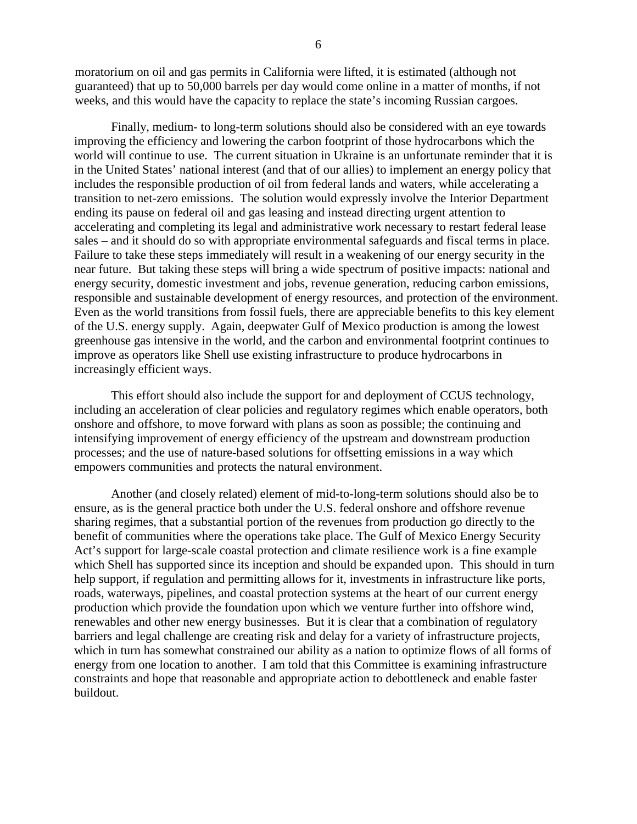moratorium on oil and gas permits in California were lifted, it is estimated (although not guaranteed) that up to 50,000 barrels per day would come online in a matter of months, if not weeks, and this would have the capacity to replace the state's incoming Russian cargoes.

Finally, medium- to long-term solutions should also be considered with an eye towards improving the efficiency and lowering the carbon footprint of those hydrocarbons which the world will continue to use. The current situation in Ukraine is an unfortunate reminder that it is in the United States' national interest (and that of our allies) to implement an energy policy that includes the responsible production of oil from federal lands and waters, while accelerating a transition to net-zero emissions. The solution would expressly involve the Interior Department ending its pause on federal oil and gas leasing and instead directing urgent attention to accelerating and completing its legal and administrative work necessary to restart federal lease sales – and it should do so with appropriate environmental safeguards and fiscal terms in place. Failure to take these steps immediately will result in a weakening of our energy security in the near future. But taking these steps will bring a wide spectrum of positive impacts: national and energy security, domestic investment and jobs, revenue generation, reducing carbon emissions, responsible and sustainable development of energy resources, and protection of the environment. Even as the world transitions from fossil fuels, there are appreciable benefits to this key element of the U.S. energy supply. Again, deepwater Gulf of Mexico production is among the lowest greenhouse gas intensive in the world, and the carbon and environmental footprint continues to improve as operators like Shell use existing infrastructure to produce hydrocarbons in increasingly efficient ways.

This effort should also include the support for and deployment of CCUS technology, including an acceleration of clear policies and regulatory regimes which enable operators, both onshore and offshore, to move forward with plans as soon as possible; the continuing and intensifying improvement of energy efficiency of the upstream and downstream production processes; and the use of nature-based solutions for offsetting emissions in a way which empowers communities and protects the natural environment.

Another (and closely related) element of mid-to-long-term solutions should also be to ensure, as is the general practice both under the U.S. federal onshore and offshore revenue sharing regimes, that a substantial portion of the revenues from production go directly to the benefit of communities where the operations take place. The Gulf of Mexico Energy Security Act's support for large-scale coastal protection and climate resilience work is a fine example which Shell has supported since its inception and should be expanded upon. This should in turn help support, if regulation and permitting allows for it, investments in infrastructure like ports, roads, waterways, pipelines, and coastal protection systems at the heart of our current energy production which provide the foundation upon which we venture further into offshore wind, renewables and other new energy businesses. But it is clear that a combination of regulatory barriers and legal challenge are creating risk and delay for a variety of infrastructure projects, which in turn has somewhat constrained our ability as a nation to optimize flows of all forms of energy from one location to another. I am told that this Committee is examining infrastructure constraints and hope that reasonable and appropriate action to debottleneck and enable faster buildout.